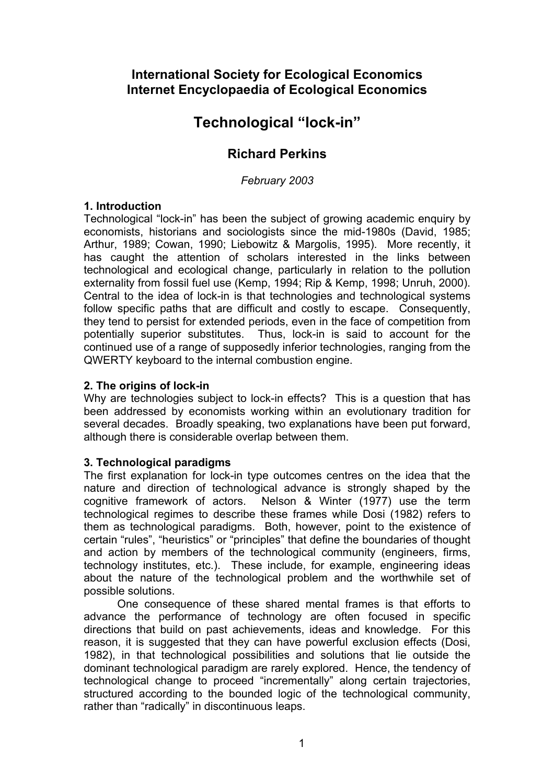# **International Society for Ecological Economics Internet Encyclopaedia of Ecological Economics**

# **Technological "lock-in"**

# **Richard Perkins**

*February 2003* 

## **1. Introduction**

Technological "lock-in" has been the subject of growing academic enquiry by economists, historians and sociologists since the mid-1980s (David, 1985; Arthur, 1989; Cowan, 1990; Liebowitz & Margolis, 1995). More recently, it has caught the attention of scholars interested in the links between technological and ecological change, particularly in relation to the pollution externality from fossil fuel use (Kemp, 1994; Rip & Kemp, 1998; Unruh, 2000). Central to the idea of lock-in is that technologies and technological systems follow specific paths that are difficult and costly to escape. Consequently, they tend to persist for extended periods, even in the face of competition from potentially superior substitutes. Thus, lock-in is said to account for the continued use of a range of supposedly inferior technologies, ranging from the QWERTY keyboard to the internal combustion engine.

#### **2. The origins of lock-in**

Why are technologies subject to lock-in effects? This is a question that has been addressed by economists working within an evolutionary tradition for several decades. Broadly speaking, two explanations have been put forward, although there is considerable overlap between them.

#### **3. Technological paradigms**

The first explanation for lock-in type outcomes centres on the idea that the nature and direction of technological advance is strongly shaped by the cognitive framework of actors. Nelson & Winter (1977) use the term technological regimes to describe these frames while Dosi (1982) refers to them as technological paradigms. Both, however, point to the existence of certain "rules", "heuristics" or "principles" that define the boundaries of thought and action by members of the technological community (engineers, firms, technology institutes, etc.). These include, for example, engineering ideas about the nature of the technological problem and the worthwhile set of possible solutions.

One consequence of these shared mental frames is that efforts to advance the performance of technology are often focused in specific directions that build on past achievements, ideas and knowledge. For this reason, it is suggested that they can have powerful exclusion effects (Dosi, 1982), in that technological possibilities and solutions that lie outside the dominant technological paradigm are rarely explored. Hence, the tendency of technological change to proceed "incrementally" along certain trajectories, structured according to the bounded logic of the technological community, rather than "radically" in discontinuous leaps.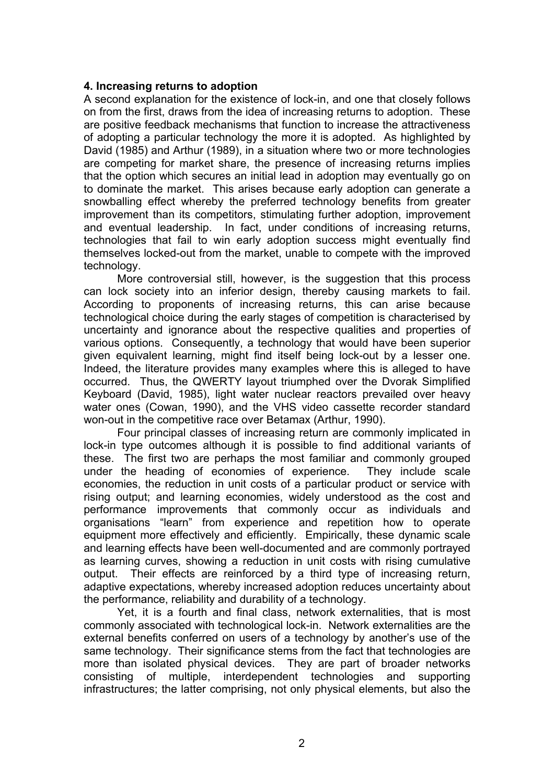#### **4. Increasing returns to adoption**

A second explanation for the existence of lock-in, and one that closely follows on from the first, draws from the idea of increasing returns to adoption. These are positive feedback mechanisms that function to increase the attractiveness of adopting a particular technology the more it is adopted. As highlighted by David (1985) and Arthur (1989), in a situation where two or more technologies are competing for market share, the presence of increasing returns implies that the option which secures an initial lead in adoption may eventually go on to dominate the market. This arises because early adoption can generate a snowballing effect whereby the preferred technology benefits from greater improvement than its competitors, stimulating further adoption, improvement and eventual leadership. In fact, under conditions of increasing returns, technologies that fail to win early adoption success might eventually find themselves locked-out from the market, unable to compete with the improved technology.

More controversial still, however, is the suggestion that this process can lock society into an inferior design, thereby causing markets to fail. According to proponents of increasing returns, this can arise because technological choice during the early stages of competition is characterised by uncertainty and ignorance about the respective qualities and properties of various options. Consequently, a technology that would have been superior given equivalent learning, might find itself being lock-out by a lesser one. Indeed, the literature provides many examples where this is alleged to have occurred. Thus, the QWERTY layout triumphed over the Dvorak Simplified Keyboard (David, 1985), light water nuclear reactors prevailed over heavy water ones (Cowan, 1990), and the VHS video cassette recorder standard won-out in the competitive race over Betamax (Arthur, 1990).

Four principal classes of increasing return are commonly implicated in lock-in type outcomes although it is possible to find additional variants of these. The first two are perhaps the most familiar and commonly grouped under the heading of economies of experience. They include scale economies, the reduction in unit costs of a particular product or service with rising output; and learning economies, widely understood as the cost and performance improvements that commonly occur as individuals and organisations "learn" from experience and repetition how to operate equipment more effectively and efficiently. Empirically, these dynamic scale and learning effects have been well-documented and are commonly portrayed as learning curves, showing a reduction in unit costs with rising cumulative output. Their effects are reinforced by a third type of increasing return, adaptive expectations, whereby increased adoption reduces uncertainty about the performance, reliability and durability of a technology.

Yet, it is a fourth and final class, network externalities, that is most commonly associated with technological lock-in. Network externalities are the external benefits conferred on users of a technology by another's use of the same technology. Their significance stems from the fact that technologies are more than isolated physical devices. They are part of broader networks consisting of multiple, interdependent technologies and supporting infrastructures; the latter comprising, not only physical elements, but also the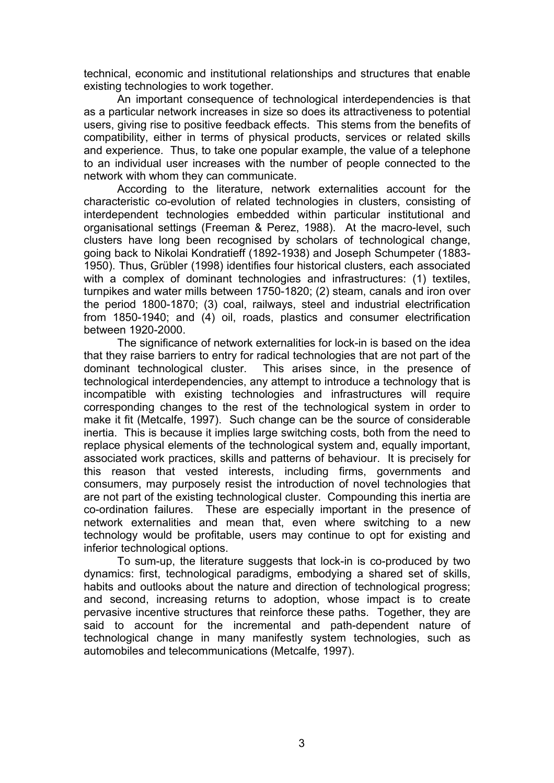technical, economic and institutional relationships and structures that enable existing technologies to work together.

An important consequence of technological interdependencies is that as a particular network increases in size so does its attractiveness to potential users, giving rise to positive feedback effects. This stems from the benefits of compatibility, either in terms of physical products, services or related skills and experience. Thus, to take one popular example, the value of a telephone to an individual user increases with the number of people connected to the network with whom they can communicate.

According to the literature, network externalities account for the characteristic co-evolution of related technologies in clusters, consisting of interdependent technologies embedded within particular institutional and organisational settings (Freeman & Perez, 1988). At the macro-level, such clusters have long been recognised by scholars of technological change, going back to Nikolai Kondratieff (1892-1938) and Joseph Schumpeter (1883- 1950). Thus, Grübler (1998) identifies four historical clusters, each associated with a complex of dominant technologies and infrastructures: (1) textiles, turnpikes and water mills between 1750-1820; (2) steam, canals and iron over the period 1800-1870; (3) coal, railways, steel and industrial electrification from 1850-1940; and (4) oil, roads, plastics and consumer electrification between 1920-2000.

The significance of network externalities for lock-in is based on the idea that they raise barriers to entry for radical technologies that are not part of the dominant technological cluster. This arises since, in the presence of technological interdependencies, any attempt to introduce a technology that is incompatible with existing technologies and infrastructures will require corresponding changes to the rest of the technological system in order to make it fit (Metcalfe, 1997). Such change can be the source of considerable inertia. This is because it implies large switching costs, both from the need to replace physical elements of the technological system and, equally important, associated work practices, skills and patterns of behaviour. It is precisely for this reason that vested interests, including firms, governments and consumers, may purposely resist the introduction of novel technologies that are not part of the existing technological cluster. Compounding this inertia are co-ordination failures. These are especially important in the presence of network externalities and mean that, even where switching to a new technology would be profitable, users may continue to opt for existing and inferior technological options.

To sum-up, the literature suggests that lock-in is co-produced by two dynamics: first, technological paradigms, embodying a shared set of skills, habits and outlooks about the nature and direction of technological progress; and second, increasing returns to adoption, whose impact is to create pervasive incentive structures that reinforce these paths. Together, they are said to account for the incremental and path-dependent nature of technological change in many manifestly system technologies, such as automobiles and telecommunications (Metcalfe, 1997).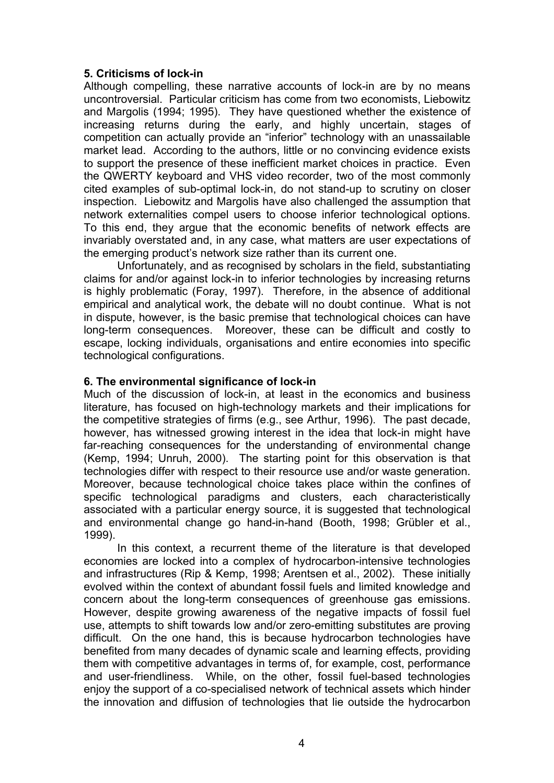### **5. Criticisms of lock-in**

Although compelling, these narrative accounts of lock-in are by no means uncontroversial. Particular criticism has come from two economists, Liebowitz and Margolis (1994; 1995). They have questioned whether the existence of increasing returns during the early, and highly uncertain, stages of competition can actually provide an "inferior" technology with an unassailable market lead. According to the authors, little or no convincing evidence exists to support the presence of these inefficient market choices in practice. Even the QWERTY keyboard and VHS video recorder, two of the most commonly cited examples of sub-optimal lock-in, do not stand-up to scrutiny on closer inspection. Liebowitz and Margolis have also challenged the assumption that network externalities compel users to choose inferior technological options. To this end, they argue that the economic benefits of network effects are invariably overstated and, in any case, what matters are user expectations of the emerging product's network size rather than its current one.

Unfortunately, and as recognised by scholars in the field, substantiating claims for and/or against lock-in to inferior technologies by increasing returns is highly problematic (Foray, 1997). Therefore, in the absence of additional empirical and analytical work, the debate will no doubt continue. What is not in dispute, however, is the basic premise that technological choices can have long-term consequences. Moreover, these can be difficult and costly to escape, locking individuals, organisations and entire economies into specific technological configurations.

## **6. The environmental significance of lock-in**

Much of the discussion of lock-in, at least in the economics and business literature, has focused on high-technology markets and their implications for the competitive strategies of firms (e.g., see Arthur, 1996). The past decade, however, has witnessed growing interest in the idea that lock-in might have far-reaching consequences for the understanding of environmental change (Kemp, 1994; Unruh, 2000). The starting point for this observation is that technologies differ with respect to their resource use and/or waste generation. Moreover, because technological choice takes place within the confines of specific technological paradigms and clusters, each characteristically associated with a particular energy source, it is suggested that technological and environmental change go hand-in-hand (Booth, 1998; Grübler et al., 1999).

In this context, a recurrent theme of the literature is that developed economies are locked into a complex of hydrocarbon-intensive technologies and infrastructures (Rip & Kemp, 1998; Arentsen et al., 2002). These initially evolved within the context of abundant fossil fuels and limited knowledge and concern about the long-term consequences of greenhouse gas emissions. However, despite growing awareness of the negative impacts of fossil fuel use, attempts to shift towards low and/or zero-emitting substitutes are proving difficult. On the one hand, this is because hydrocarbon technologies have benefited from many decades of dynamic scale and learning effects, providing them with competitive advantages in terms of, for example, cost, performance and user-friendliness. While, on the other, fossil fuel-based technologies enjoy the support of a co-specialised network of technical assets which hinder the innovation and diffusion of technologies that lie outside the hydrocarbon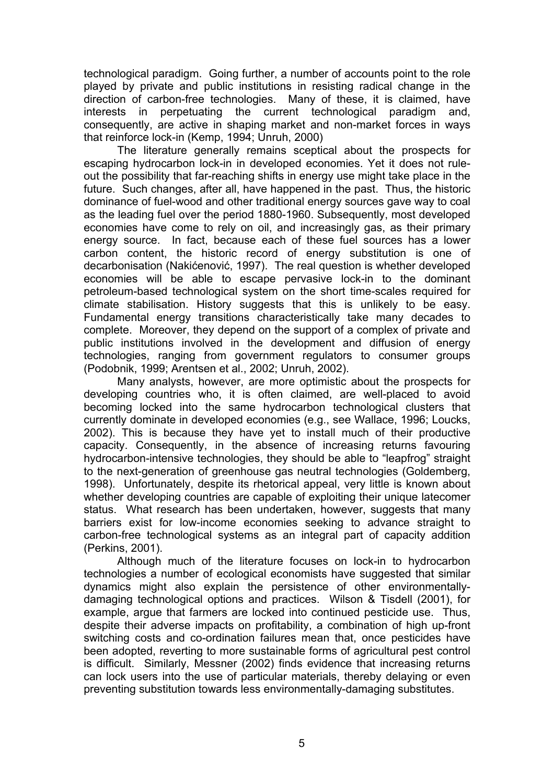technological paradigm. Going further, a number of accounts point to the role played by private and public institutions in resisting radical change in the direction of carbon-free technologies. Many of these, it is claimed, have interests in perpetuating the current technological paradigm and, consequently, are active in shaping market and non-market forces in ways that reinforce lock-in (Kemp, 1994; Unruh, 2000)

The literature generally remains sceptical about the prospects for escaping hydrocarbon lock-in in developed economies. Yet it does not ruleout the possibility that far-reaching shifts in energy use might take place in the future. Such changes, after all, have happened in the past. Thus, the historic dominance of fuel-wood and other traditional energy sources gave way to coal as the leading fuel over the period 1880-1960. Subsequently, most developed economies have come to rely on oil, and increasingly gas, as their primary energy source. In fact, because each of these fuel sources has a lower carbon content, the historic record of energy substitution is one of decarbonisation (Nakićenović, 1997). The real question is whether developed economies will be able to escape pervasive lock-in to the dominant petroleum-based technological system on the short time-scales required for climate stabilisation. History suggests that this is unlikely to be easy. Fundamental energy transitions characteristically take many decades to complete. Moreover, they depend on the support of a complex of private and public institutions involved in the development and diffusion of energy technologies, ranging from government regulators to consumer groups (Podobnik, 1999; Arentsen et al., 2002; Unruh, 2002).

Many analysts, however, are more optimistic about the prospects for developing countries who, it is often claimed, are well-placed to avoid becoming locked into the same hydrocarbon technological clusters that currently dominate in developed economies (e.g., see Wallace, 1996; Loucks, 2002). This is because they have yet to install much of their productive capacity. Consequently, in the absence of increasing returns favouring hydrocarbon-intensive technologies, they should be able to "leapfrog" straight to the next-generation of greenhouse gas neutral technologies (Goldemberg, 1998). Unfortunately, despite its rhetorical appeal, very little is known about whether developing countries are capable of exploiting their unique latecomer status. What research has been undertaken, however, suggests that many barriers exist for low-income economies seeking to advance straight to carbon-free technological systems as an integral part of capacity addition (Perkins, 2001).

Although much of the literature focuses on lock-in to hydrocarbon technologies a number of ecological economists have suggested that similar dynamics might also explain the persistence of other environmentallydamaging technological options and practices. Wilson & Tisdell (2001), for example, argue that farmers are locked into continued pesticide use. Thus, despite their adverse impacts on profitability, a combination of high up-front switching costs and co-ordination failures mean that, once pesticides have been adopted, reverting to more sustainable forms of agricultural pest control is difficult. Similarly, Messner (2002) finds evidence that increasing returns can lock users into the use of particular materials, thereby delaying or even preventing substitution towards less environmentally-damaging substitutes.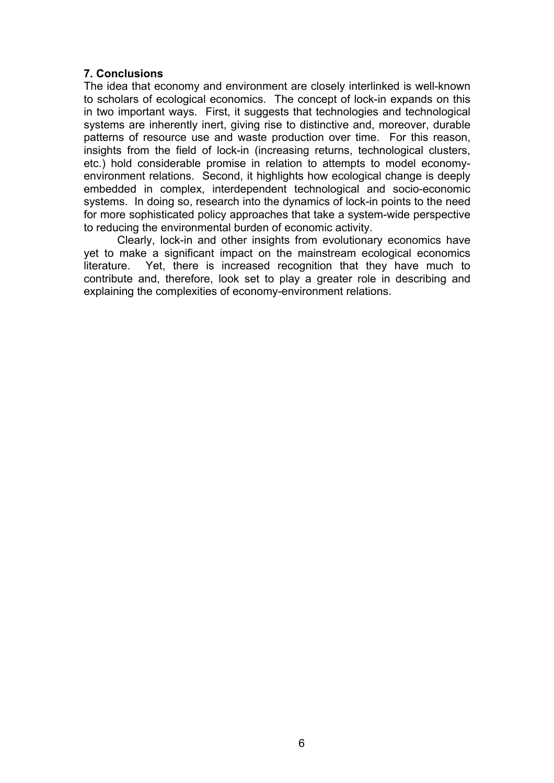# **7. Conclusions**

The idea that economy and environment are closely interlinked is well-known to scholars of ecological economics. The concept of lock-in expands on this in two important ways. First, it suggests that technologies and technological systems are inherently inert, giving rise to distinctive and, moreover, durable patterns of resource use and waste production over time. For this reason, insights from the field of lock-in (increasing returns, technological clusters, etc.) hold considerable promise in relation to attempts to model economyenvironment relations. Second, it highlights how ecological change is deeply embedded in complex, interdependent technological and socio-economic systems. In doing so, research into the dynamics of lock-in points to the need for more sophisticated policy approaches that take a system-wide perspective to reducing the environmental burden of economic activity.

Clearly, lock-in and other insights from evolutionary economics have yet to make a significant impact on the mainstream ecological economics literature. Yet, there is increased recognition that they have much to contribute and, therefore, look set to play a greater role in describing and explaining the complexities of economy-environment relations.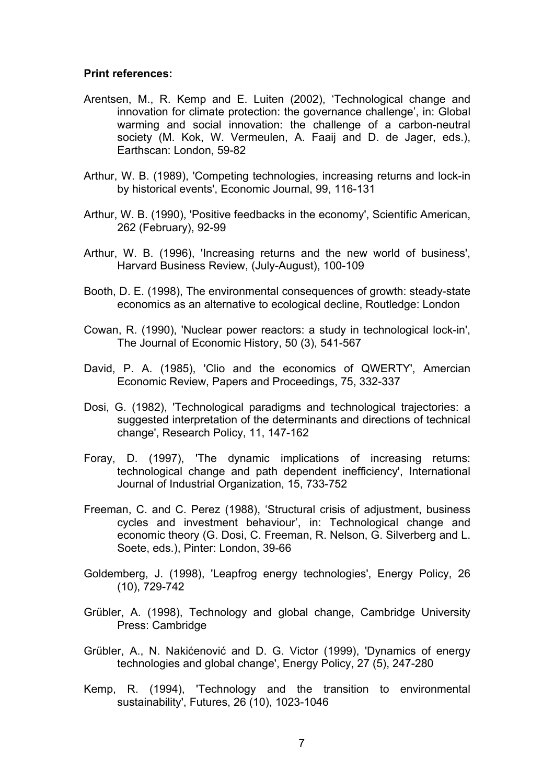#### **Print references:**

- Arentsen, M., R. Kemp and E. Luiten (2002), 'Technological change and innovation for climate protection: the governance challenge', in: Global warming and social innovation: the challenge of a carbon-neutral society (M. Kok, W. Vermeulen, A. Faaij and D. de Jager, eds.), Earthscan: London, 59-82
- Arthur, W. B. (1989), 'Competing technologies, increasing returns and lock-in by historical events', Economic Journal, 99, 116-131
- Arthur, W. B. (1990), 'Positive feedbacks in the economy', Scientific American, 262 (February), 92-99
- Arthur, W. B. (1996), 'Increasing returns and the new world of business', Harvard Business Review, (July-August), 100-109
- Booth, D. E. (1998), The environmental consequences of growth: steady-state economics as an alternative to ecological decline, Routledge: London
- Cowan, R. (1990), 'Nuclear power reactors: a study in technological lock-in', The Journal of Economic History, 50 (3), 541-567
- David, P. A. (1985), 'Clio and the economics of QWERTY', Amercian Economic Review, Papers and Proceedings, 75, 332-337
- Dosi, G. (1982), 'Technological paradigms and technological trajectories: a suggested interpretation of the determinants and directions of technical change', Research Policy, 11, 147-162
- Foray, D. (1997), 'The dynamic implications of increasing returns: technological change and path dependent inefficiency', International Journal of Industrial Organization, 15, 733-752
- Freeman, C. and C. Perez (1988), 'Structural crisis of adjustment, business cycles and investment behaviour', in: Technological change and economic theory (G. Dosi, C. Freeman, R. Nelson, G. Silverberg and L. Soete, eds.), Pinter: London, 39-66
- Goldemberg, J. (1998), 'Leapfrog energy technologies', Energy Policy, 26 (10), 729-742
- Grübler, A. (1998), Technology and global change, Cambridge University Press: Cambridge
- Grübler, A., N. Nakićenović and D. G. Victor (1999), 'Dynamics of energy technologies and global change', Energy Policy, 27 (5), 247-280
- Kemp, R. (1994), 'Technology and the transition to environmental sustainability', Futures, 26 (10), 1023-1046